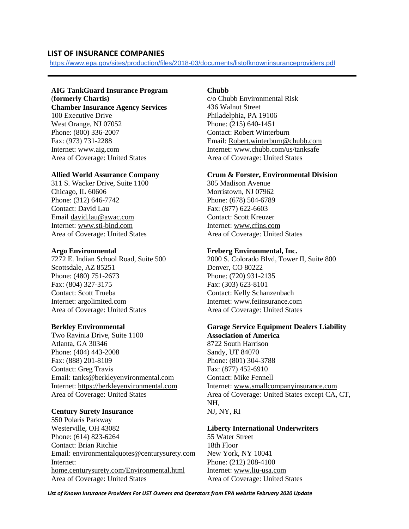# **LIST OF INSURANCE COMPANIES**

<https://www.epa.gov/sites/production/files/2018-03/documents/listofknowninsuranceproviders.pdf>

# **AIG TankGuard Insurance Program**

(**formerly Chartis) Chamber Insurance Agency Services** 100 Executive Drive West Orange, NJ 07052 Phone: (800) 336-2007 Fax: (973) 731-2288 Internet[: www.aig.com](http://www.aig.com/) Area of Coverage: United States

# **Allied World Assurance Company**

311 S. Wacker Drive, Suite 1100 Chicago, IL 60606 Phone: (312) 646-7742 Contact: David Lau Email [david.lau@awac.com](mailto:david.lau@awac.com) Internet[: www.sti-bind.com](http://www.sti-bind.com/) Area of Coverage: United States

# **Argo Environmental**

7272 E. Indian School Road, Suite 500 Scottsdale, AZ 85251 Phone: (480) 751-2673 Fax: (804) 327-3175 Contact: Scott Trueba Internet: argolimited.com Area of Coverage: United States

# **Berkley Environmental**

Two Ravinia Drive, Suite 1100 Atlanta, GA 30346 Phone: (404) 443-2008 Fax: (888) 201-8109 Contact: Greg Travis Email: [tanks@berkleyenvironmental.com](mailto:tanks@berkleyenvironmental.com) Internet[: https://berkleyenvironmental.com](https://berkleyenvironmental.com/) Area of Coverage: United States

## **Century Surety Insurance**

550 Polaris Parkway Westerville, OH 43082 Phone: (614) 823-6264 Contact: Brian Ritchie Email: [environmentalquotes@centurysurety.com](mailto:environmentalquotes@centurysurety.com) Internet: [home.centurysurety.com/Environmental.html](http://home.centurysurety.com/Environmental.html) Area of Coverage: United States

# **Chubb**

c/o Chubb Environmental Risk 436 Walnut Street Philadelphia, PA 19106 Phone: (215) 640-1451 Contact: Robert Winterburn Email: [Robert.winterburn@chubb.com](mailto:Robert.winterburn@chubb.com) Internet: [www.chubb.com/us/tanksafe](http://www.chubb.com/us/tanksafe) Area of Coverage: United States

## **Crum & Forster, Environmental Division**

305 Madison Avenue Morristown, NJ 07962 Phone: (678) 504-6789 Fax: (877) 622-6603 Contact: Scott Kreuzer Internet: [www.cfins.com](http://www.cfins.com/) Area of Coverage: United States

# **Freberg Environmental, Inc.**

2000 S. Colorado Blvd, Tower II, Suite 800 Denver, CO 80222 Phone: (720) 931-2135 Fax: (303) 623-8101 Contact: Kelly Schanzenbach Internet: [www.feiinsurance.com](http://www.feiinsurance.com/) Area of Coverage: United States

#### **Garage Service Equipment Dealers Liability Association of America**

8722 South Harrison Sandy, UT 84070 Phone: (801) 304-3788 Fax: (877) 452-6910 Contact: Mike Fennell Internet: [www.smallcompanyinsurance.com](http://www.smallcompanyinsurance.com/) Area of Coverage: United States except CA, CT, NH, NJ, NY, RI

## **Liberty International Underwriters**

55 Water Street 18th Floor New York, NY 10041 Phone: (212) 208-4100 Internet: [www.liu-usa.com](http://www.liu-usa.com/) Area of Coverage: United States

*List of Known Insurance Providers For UST Owners and Operators from EPA website February 2020 Update*